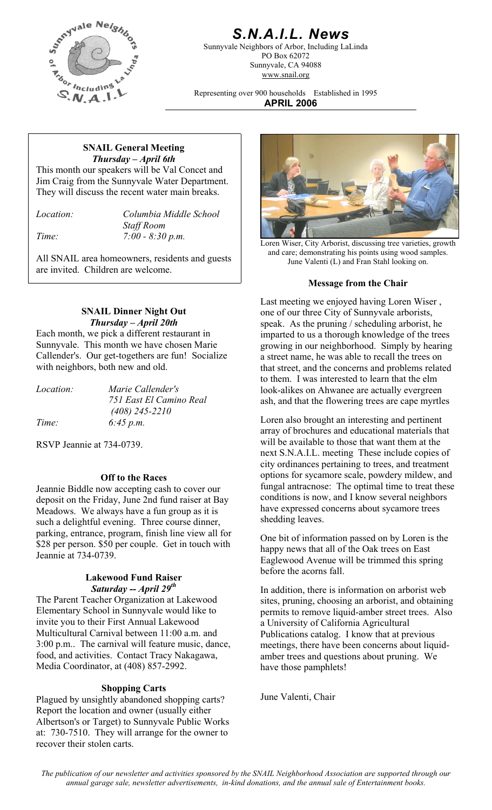

# *S.N.A.I.L. News*

Sunnyvale Neighbors of Arbor, Including LaLinda PO Box 62072 Sunnyvale, CA 94088 www.snail.org

Representing over 900 households Established in 1995 **APRIL 2006**

#### **SNAIL General Meeting**  *Thursday – April 6th*

This month our speakers will be Val Concet and Jim Craig from the Sunnyvale Water Department. They will discuss the recent water main breaks.

*Location: Columbia Middle School* 

 *Staff Room* 

are invited. Children are welcome.

# **SNAIL Dinner Night Out**  *Thursday – April 20th*

Each month, we pick a different restaurant in Sunnyvale. This month we have chosen Marie Callender's. Our get-togethers are fun! Socialize with neighbors, both new and old.

| <i>Location:</i> | Marie Callender's       |
|------------------|-------------------------|
|                  | 751 East El Camino Real |
|                  | $(408)$ 245-2210        |
| Time:            | 6:45 p.m.               |

RSVP Jeannie at 734-0739.

# **Off to the Races**

Jeannie Biddle now accepting cash to cover our deposit on the Friday, June 2nd fund raiser at Bay Meadows. We always have a fun group as it is such a delightful evening. Three course dinner, parking, entrance, program, finish line view all for \$28 per person. \$50 per couple. Get in touch with Jeannie at 734-0739.

# before the acorns fall. **Lakewood Fund Raiser**

The Parent Teacher Organization at Lakewood Elementary School in Sunnyvale would like to invite you to their First Annual Lakewood Multicultural Carnival between 11:00 a.m. and 3:00 p.m.. The carnival will feature music, dance, food, and activities. Contact Tracy Nakagawa, Media Coordinator, at (408) 857-2992.

# **Shopping Carts**

Plagued by unsightly abandoned shopping carts? June Valenti, Chair Report the location and owner (usually either Albertson's or Target) to Sunnyvale Public Works at: 730-7510. They will arrange for the owner to recover their stolen carts.



*Time:* 7:00 - 8:30 p.m. Loren Wiser, City Arborist, discussing tree varieties, growth All SNAIL area homeowners, residents and guests and guests June Valenti (L) and Fran Stahl looking on.

### **Message from the Chair**

Last meeting we enjoyed having Loren Wiser , one of our three City of Sunnyvale arborists, speak. As the pruning / scheduling arborist, he imparted to us a thorough knowledge of the trees growing in our neighborhood. Simply by hearing a street name, he was able to recall the trees on that street, and the concerns and problems related to them. I was interested to learn that the elm look-alikes on Ahwanee are actually evergreen ash, and that the flowering trees are cape myrtles

Loren also brought an interesting and pertinent array of brochures and educational materials that will be available to those that want them at the next S.N.A.I.L. meeting These include copies of city ordinances pertaining to trees, and treatment options for sycamore scale, powdery mildew, and fungal antracnose: The optimal time to treat these conditions is now, and I know several neighbors have expressed concerns about sycamore trees shedding leaves.

One bit of information passed on by Loren is the happy news that all of the Oak trees on East Eaglewood Avenue will be trimmed this spring

**Saturday -- April 29<sup>th</sup>** In addition, there is information on arborist web sites, pruning, choosing an arborist, and obtaining permits to remove liquid-amber street trees. Also a University of California Agricultural Publications catalog. I know that at previous meetings, there have been concerns about liquidamber trees and questions about pruning. We have those pamphlets!